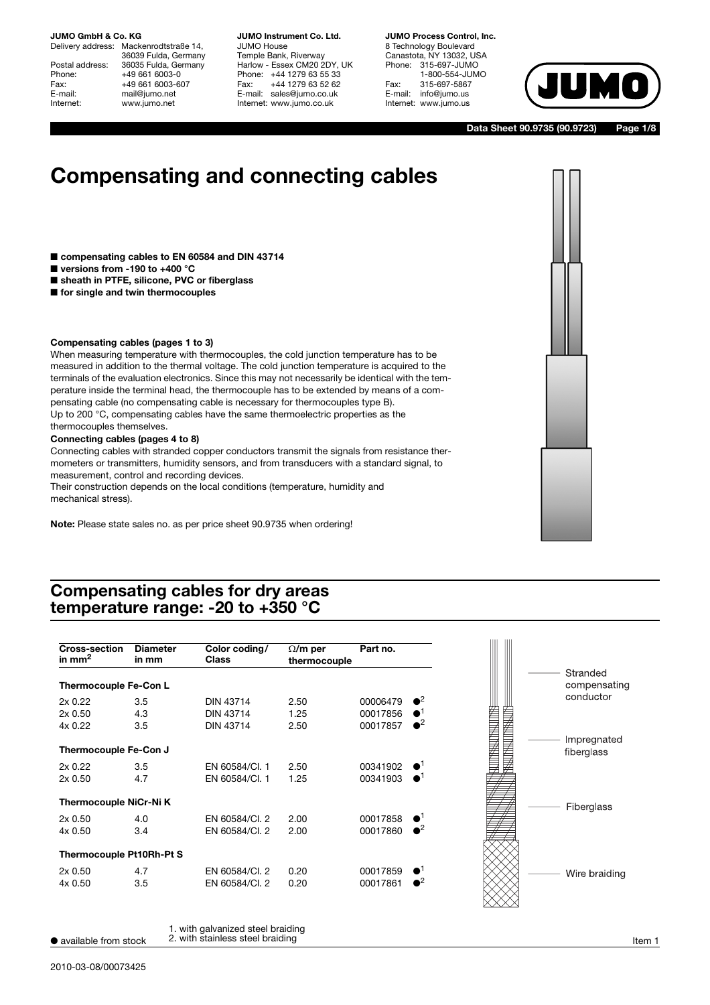Delivery address: Mackenrodtstraße 14, 36039 Fulda, Germany Postal address: 36035 Fulda, Germany<br>Phone: +49 661 6003-0 Phone: +49 661 6003-0<br>Fax: +49 661 6003-6 Fax: +49 661 6003-607<br>
E-mail: mail@jumo.net E-mail: mail@jumo.net<br>
Internet: www.jumo.net www.jumo.net

**JUMO Instrument Co. Ltd.** JUMO House Temple Bank, Riverway Harlow - Essex CM20 2DY, UK Phone: +44 1279 63 55 33<br>Fax: +44 1279 63 52 62 +44 1279 63 52 62 E-mail: sales@jumo.co.uk Internet: www.jumo.co.uk

**JUMO Process Control, Inc.** 8 Technology Boulevard Canastota, NY 13032, USA Phone: 315-697-JUMO 1-800-554-JUMO Fax: 315-697-5867<br>E-mail: info@jumo.us info@jumo.us Internet: www.jumo.us



**Data Sheet 90.9735 (90.9723) Page 1/8**

# **Compensating and connecting cables**

- compensating cables to EN 60584 and DIN 43714
- **versions from -190 to +400 °C**
- sheath in PTFE, silicone, PVC or fiberglass
- for single and twin thermocouples

#### **Compensating cables (pages 1 to 3)**

When measuring temperature with thermocouples, the cold junction temperature has to be measured in addition to the thermal voltage. The cold junction temperature is acquired to the terminals of the evaluation electronics. Since this may not necessarily be identical with the temperature inside the terminal head, the thermocouple has to be extended by means of a compensating cable (no compensating cable is necessary for thermocouples type B). Up to 200 °C, compensating cables have the same thermoelectric properties as the thermocouples themselves.

#### **Connecting cables (pages 4 to 8)**

Connecting cables with stranded copper conductors transmit the signals from resistance thermometers or transmitters, humidity sensors, and from transducers with a standard signal, to measurement, control and recording devices.

Their construction depends on the local conditions (temperature, humidity and mechanical stress).

**Note:** Please state sales no. as per price sheet 90.9735 when ordering!

# **Compensating cables for dry areas temperature range: -20 to +350 °C**

| <b>Cross-section</b><br>in $mm2$ | <b>Diameter</b><br>in mm | Color coding/<br><b>Class</b> | $\Omega/m$ per<br>thermocouple | Part no. |                        |
|----------------------------------|--------------------------|-------------------------------|--------------------------------|----------|------------------------|
| Thermocouple Fe-Con L            |                          |                               |                                |          |                        |
| 2x0.22                           | 3.5                      | <b>DIN 43714</b>              | 2.50                           | 00006479 | $\bullet^2$            |
| 2x0.50                           | 4.3                      | <b>DIN 43714</b>              | 1.25                           | 00017856 | $\bullet$              |
| 4x 0.22                          | 3.5                      | <b>DIN 43714</b>              | 2.50                           | 00017857 | $\bullet^2$            |
| Thermocouple Fe-Con J            |                          |                               |                                |          |                        |
| 2x0.22                           | 3.5                      | EN 60584/Cl. 1                | 2.50                           | 00341902 | $\bullet$ <sup>1</sup> |
| 2x0.50                           | 4.7                      | EN 60584/Cl. 1                | 1.25                           | 00341903 | $\bullet$              |
| Thermocouple NiCr-Ni K           |                          |                               |                                |          |                        |
| 2x0.50                           | 4.0                      | EN 60584/Cl. 2                | 2.00                           | 00017858 | $\bullet$ <sup>1</sup> |
| 4x 0.50                          | 3.4                      | EN 60584/Cl. 2                | 2.00                           | 00017860 | $\bullet^2$            |
| Thermocouple Pt10Rh-Pt S         |                          |                               |                                |          |                        |
| 2x0.50                           | 4.7                      | EN 60584/Cl. 2                | 0.20                           | 00017859 | $\bullet^1$            |
| 4x 0.50                          | 3.5                      | EN 60584/Cl. 2                | 0.20                           | 00017861 | $\bullet^2$            |
|                                  |                          |                               |                                |          |                        |

● available from stock  $\qquad$  2. with stainless steel braiding  $\qquad \qquad$  and  $\qquad$  and  $\qquad$  item 1

<sup>1.</sup> with galvanized steel braiding 2. with stainless steel braiding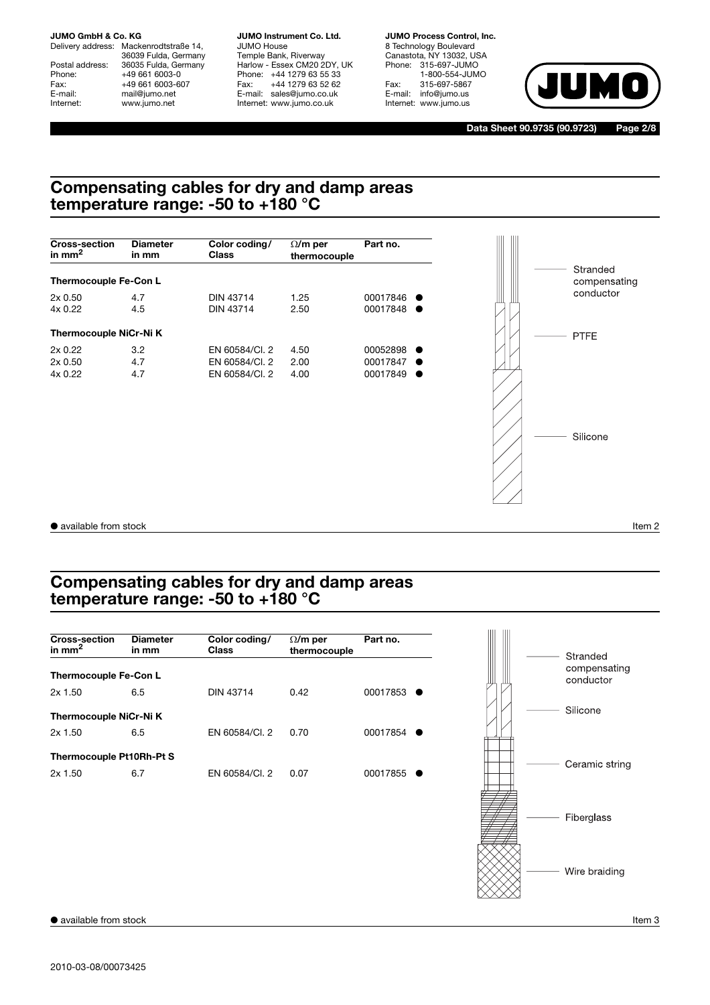Delivery address: Mackenrodtstraße 14, 36039 Fulda, Germany Postal address: 36035 Fulda, Germany<br>Phone: +49 661 6003-0 Phone: +49 661 6003-0<br>Fax: +49 661 6003-6 Fax: +49 661 6003-607<br>E-mail: +49 661 6003-607 E-mail: mail@jumo.net<br>
Internet: www.jumo.net www.jumo.net

**JUMO Instrument Co. Ltd.** JUMO House Temple Bank, Riverway Harlow - Essex CM20 2DY, UK Phone: +44 1279 63 55 33 Fax: +44 1279 63 52 62 E-mail: sales@jumo.co.uk Internet: www.jumo.co.uk

**JUMO Process Control, Inc.** 8 Technology Boulevard Canastota, NY 13032, USA Phone: 315-697-JUMO 1-800-554-JUMO Fax: 315-697-5867 E-mail: info@jumo.us Internet: www.jumo.us



**Data Sheet 90.9735 (90.9723) Page 2/8**

# **Compensating cables for dry and damp areas temperature range: -50 to +180 °C**



# **Compensating cables for dry and damp areas temperature range: -50 to +180 °C**

| <b>Cross-section</b><br>in mm <sup>2</sup> | <b>Diameter</b><br>in mm | Color coding/<br>Class | $\Omega/m$ per<br>thermocouple | Part no. |
|--------------------------------------------|--------------------------|------------------------|--------------------------------|----------|
| Thermocouple Fe-Con L                      |                          |                        |                                |          |
| $2x$ 1.50                                  | 6.5                      | <b>DIN 43714</b>       | 0.42                           | 00017853 |
| Thermocouple NiCr-Ni K                     |                          |                        |                                |          |
| $2x$ 1.50                                  | 6.5                      | EN 60584/Cl. 2         | 0.70                           | 00017854 |
| Thermocouple Pt10Rh-Pt S                   |                          |                        |                                |          |
| $2x$ 1.50                                  | 6.7                      | EN 60584/Cl. 2         | 0.07                           | 00017855 |
|                                            |                          |                        |                                |          |
|                                            |                          |                        |                                |          |
|                                            |                          |                        |                                |          |

Wire braiding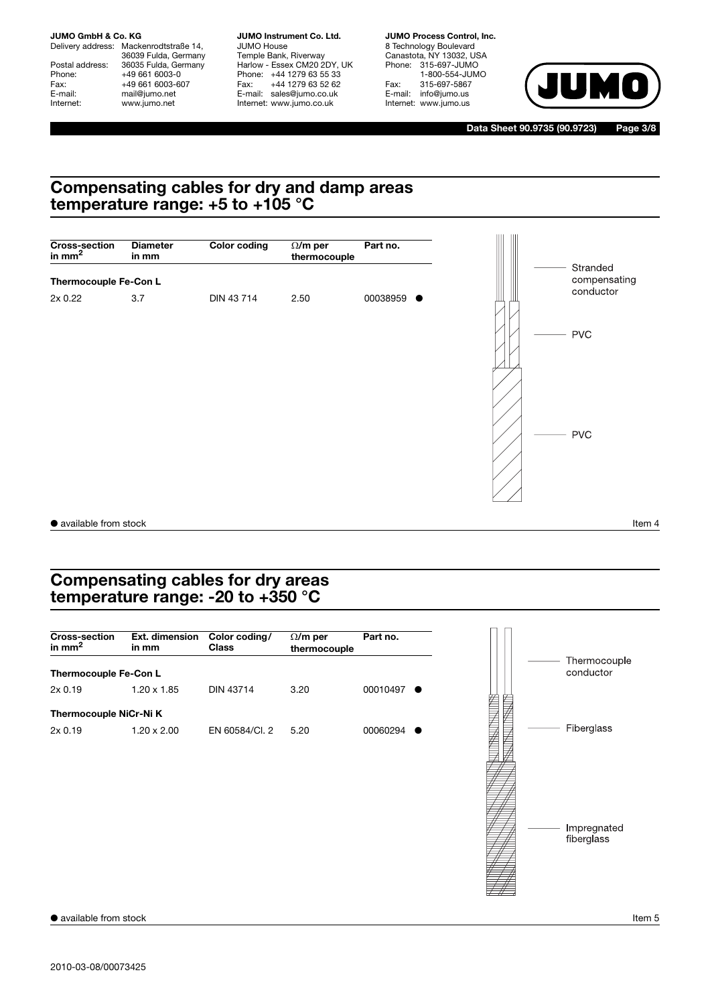Delivery address: Mackenrodtstraße 14, 36039 Fulda, Germany Postal address: 36035 Fulda, Germany<br>Phone: +49 661 6003-0 Phone: +49 661 6003-0<br>Fax: +49 661 6003-6 Fax: +49 661 6003-607<br>
E-mail: mail@jumo.net E-mail: mail@jumo.net<br>
Internet: www.jumo.net www.jumo.net

**JUMO Instrument Co. Ltd.** JUMO House Temple Bank, Riverway Harlow - Essex CM20 2DY, UK Phone: +44 1279 63 55 33 Fax: +44 1279 63 52 62 E-mail: sales@jumo.co.uk Internet: www.jumo.co.uk

**JUMO Process Control, Inc.** 8 Technology Boulevard Canastota, NY 13032, USA Phone: 315-697-JUMO 1-800-554-JUMO Fax: 315-697-5867<br>E-mail: info@jumo.us info@jumo.us Internet: www.jumo.us



**Data Sheet 90.9735 (90.9723) Page 3/8**

## **Compensating cables for dry and damp areas temperature range: +5 to +105 °C**



# **Compensating cables for dry areas temperature range: -20 to +350 °C**



● available from stock Item 5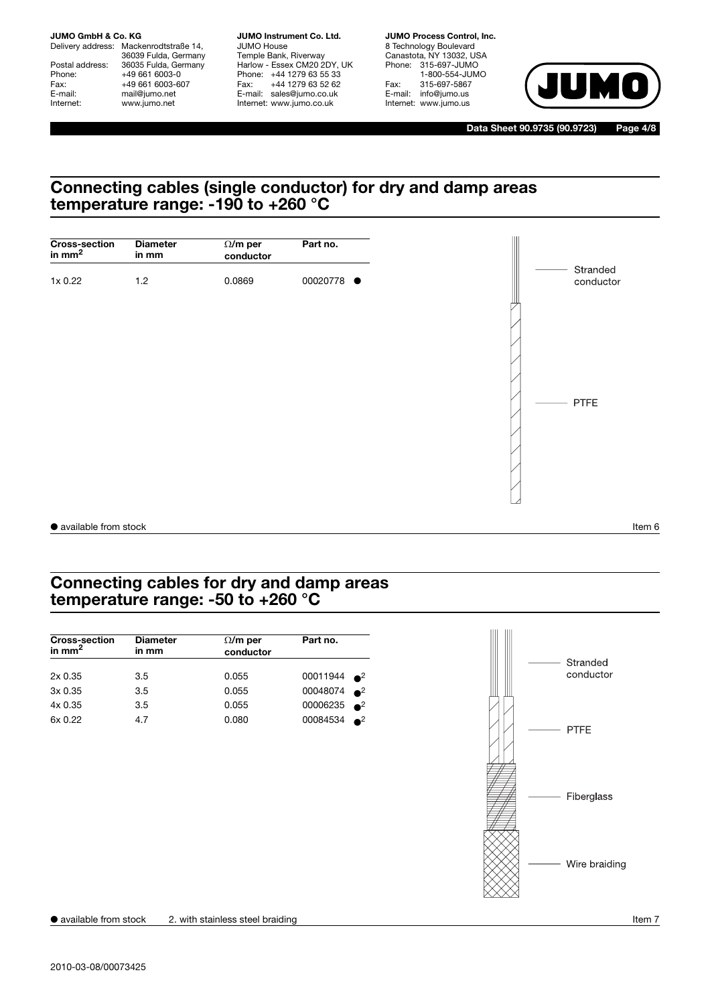Delivery address: Mackenrodtstraße 14, 36039 Fulda, Germany Postal address: 36035 Fulda, Germany<br>Phone: +49 661 6003-0 Phone: +49 661 6003-0<br>Fax: +49 661 6003-6 Fax: +49 661 6003-607<br>
E-mail: mail@jumo.net E-mail: mail@jumo.net<br>
Internet: www.jumo.net www.jumo.net

**JUMO Instrument Co. Ltd.** JUMO House Temple Bank, Riverway Harlow - Essex CM20 2DY, UK Phone: +44 1279 63 55 33 Fax: +44 1279 63 52 62 E-mail: sales@jumo.co.uk Internet: www.jumo.co.uk

**JUMO Process Control, Inc.** 8 Technology Boulevard Canastota, NY 13032, USA Phone: 315-697-JUMO 1-800-554-JUMO Fax: 315-697-5867 E-mail: info@jumo.us Internet: www.jumo.us



**Data Sheet 90.9735 (90.9723) Page 4/8**

# **Connecting cables (single conductor) for dry and damp areas temperature range: -190 to +260 °C**



# **Connecting cables for dry and damp areas temperature range: -50 to +260 °C**

| <b>Diameter</b><br>in mm | $\Omega/m$ per<br>Part no.<br>conductor |                       |             |
|--------------------------|-----------------------------------------|-----------------------|-------------|
|                          |                                         |                       |             |
| 3.5                      | 0.055                                   | 00011944 <sup>2</sup> |             |
| 3.5                      | 0.055                                   | 00048074              | $\bullet^2$ |
| 3.5                      | 0.055                                   | 00006235 $^2$         |             |
| 4.7                      | 0.080                                   | 00084534              | $\bullet^2$ |
|                          |                                         |                       |             |

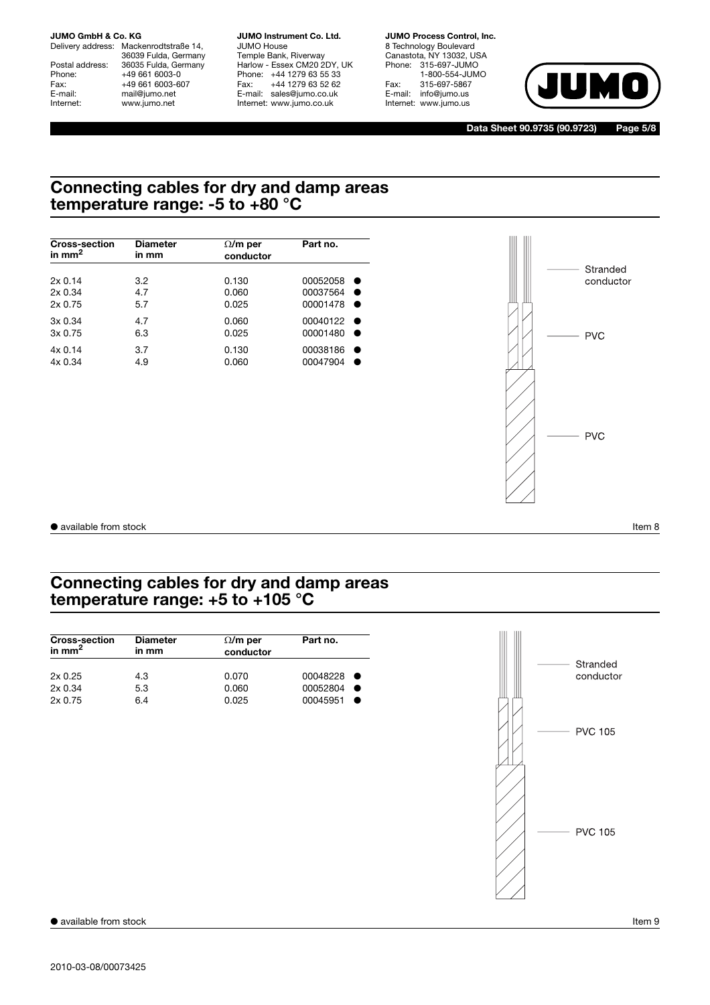Delivery address: Mackenrodtstraße 14, 36039 Fulda, Germany Postal address: 36035 Fulda, Germany<br>Phone: +49 661 6003-0 Phone: +49 661 6003-0<br>Fax: +49 661 6003-6 Fax: +49 661 6003-607<br>E-mail: +49 661 6003-607 E-mail: mail@jumo.net<br>
Internet: www.jumo.net www.jumo.net

**JUMO Instrument Co. Ltd.** JUMO House Temple Bank, Riverway Harlow - Essex CM20 2DY, UK Phone: +44 1279 63 55 33 Fax: +44 1279 63 52 62 E-mail: sales@jumo.co.uk Internet: www.jumo.co.uk

**JUMO Process Control, Inc.** 8 Technology Boulevard Canastota, NY 13032, USA Phone: 315-697-JUMO 1-800-554-JUMO Fax: 315-697-5867 E-mail: info@jumo.us Internet: www.jumo.us



**Data Sheet 90.9735 (90.9723) Page 5/8**

# **Connecting cables for dry and damp areas temperature range: -5 to +80 °C**

| <b>Cross-section</b> | <b>Diameter</b> | $\Omega/m$ per | Part no. |
|----------------------|-----------------|----------------|----------|
| in mm <sup>2</sup>   | in mm           | conductor      |          |
| 2x0.14               | 3.2             | 0.130          | 00052058 |
| 2x0.34               | 4.7             | 0.060          | 00037564 |
| 2x0.75               | 5.7             | 0.025          | 00001478 |
| 3x0.34               | 4.7             | 0.060          | 00040122 |
| 3x0.75               | 6.3             | 0.025          | 00001480 |
| 4x0.14               | 3.7             | 0.130          | 00038186 |
| 4x0.34               | 4.9             | 0.060          | 00047904 |



● available from stock Item 8

# **Connecting cables for dry and damp areas temperature range: +5 to +105 °C**

| <b>Cross-section</b><br>in mm <sup>2</sup> | <b>Diameter</b><br>in mm | Part no.<br>$\Omega/m$ per<br>conductor |          |  |
|--------------------------------------------|--------------------------|-----------------------------------------|----------|--|
| 2x0.25                                     | 4.3                      | 0.070                                   | 00048228 |  |
| 2x0.34                                     | 5.3                      | 0.060                                   | 00052804 |  |
| 2x0.75                                     | 6.4                      | 0.025                                   | 00045951 |  |

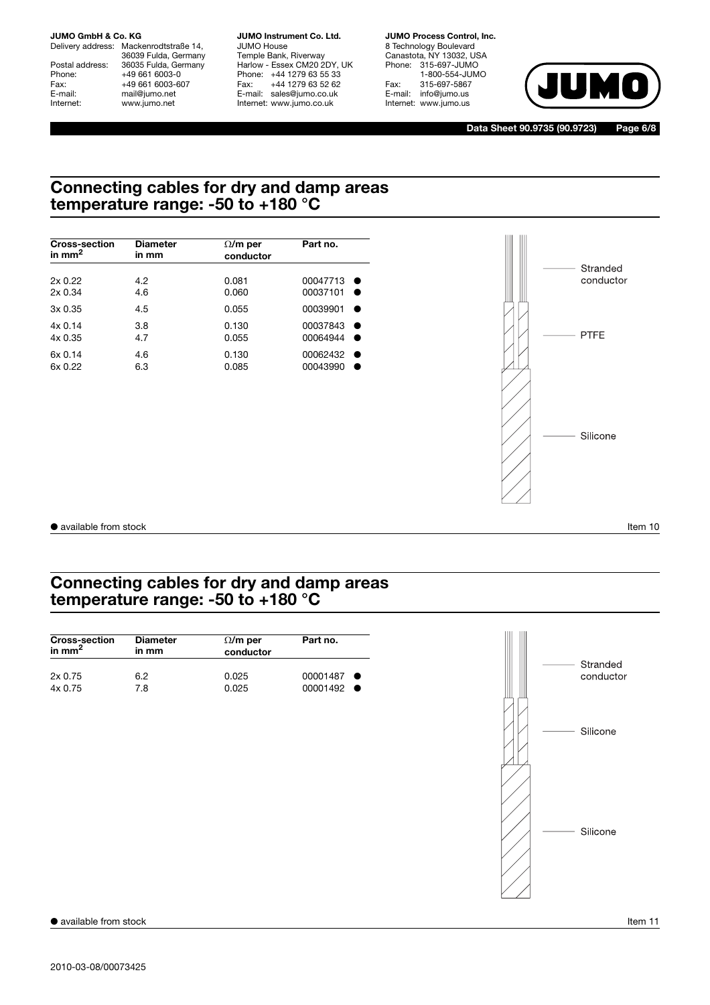Delivery address: Mackenrodtstraße 14, 36039 Fulda, Germany Postal address: 36035 Fulda, Germany<br>Phone: +49 661 6003-0 Phone: +49 661 6003-0<br>Fax: +49 661 6003-6 Fax: +49 661 6003-607<br>E-mail: +49 661 6003-607 E-mail: mail@jumo.net<br>
Internet: www.jumo.net www.jumo.net

**JUMO Instrument Co. Ltd.** JUMO House Temple Bank, Riverway Harlow - Essex CM20 2DY, UK Phone: +44 1279 63 55 33 Fax: +44 1279 63 52 62 E-mail: sales@jumo.co.uk Internet: www.jumo.co.uk

**JUMO Process Control, Inc.** 8 Technology Boulevard Canastota, NY 13032, USA Phone: 315-697-JUMO 1-800-554-JUMO Fax: 315-697-5867 E-mail: info@jumo.us Internet: www.jumo.us



**Data Sheet 90.9735 (90.9723) Page 6/8**

# **Connecting cables for dry and damp areas temperature range: -50 to +180 °C**

| <b>Cross-section</b> | <b>Diameter</b> | $\Omega/m$ per | Part no. |  |
|----------------------|-----------------|----------------|----------|--|
| in $mm2$             | in mm           | conductor      |          |  |
| 2x0.22               | 4.2             | 0.081          | 00047713 |  |
| 2x0.34               | 4.6             | 0.060          | 00037101 |  |
| 3x0.35               | 4.5             | 0.055          | 00039901 |  |
| 4x0.14               | 3.8             | 0.130          | 00037843 |  |
| 4x0.35               | 4.7             | 0.055          | 00064944 |  |
| 6x 0.14              | 4.6             | 0.130          | 00062432 |  |
| 6x 0.22              | 6.3             | 0.085          | 00043990 |  |



● available from stock Item 10

# **Connecting cables for dry and damp areas temperature range: -50 to +180 °C**

| <b>Cross-section</b><br>in $mm2$ | <b>Diameter</b><br>in mm | Part no.<br>$\Omega/m$ per<br>conductor |          |  |
|----------------------------------|--------------------------|-----------------------------------------|----------|--|
| 2x0.75                           | 6.2                      | 0.025                                   | 00001487 |  |
| 4x0.75                           | 7.8                      | 0.025                                   | 00001492 |  |

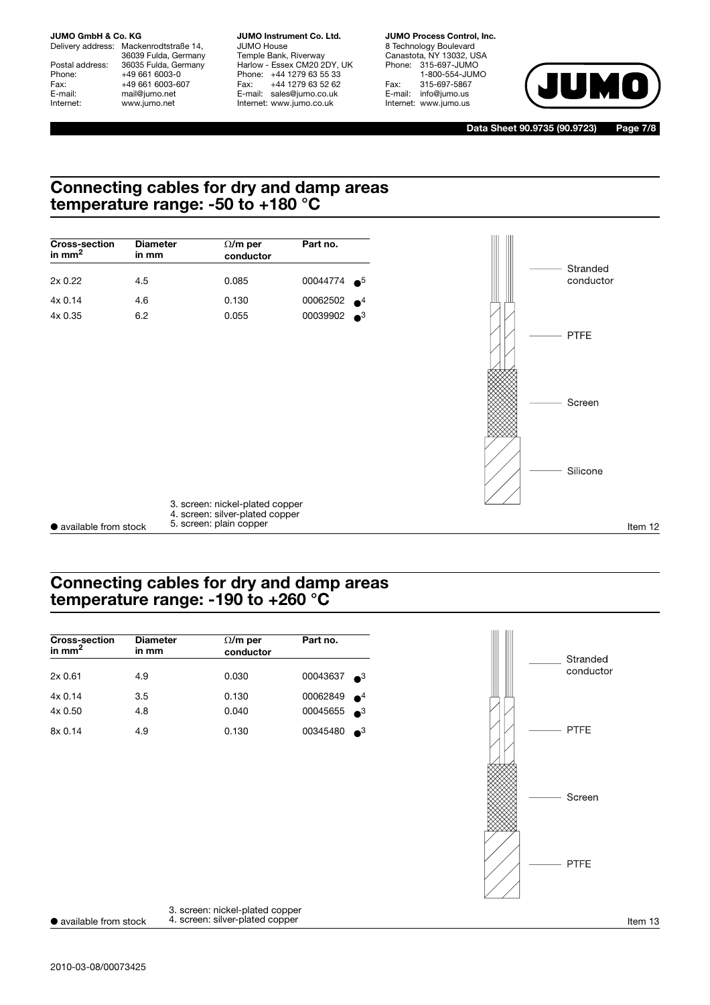Delivery address: Mackenrodtstraße 14, 36039 Fulda, Germany Postal address: 36035 Fulda, Germany<br>Phone: +49 661 6003-0 Phone: +49 661 6003-0<br>Fax: +49 661 6003-6 Fax: +49 661 6003-607<br>
E-mail: mail@jumo.net E-mail: mail@jumo.net<br>
Internet: www.jumo.net www.jumo.net

**JUMO Instrument Co. Ltd.** JUMO House Temple Bank, Riverway Harlow - Essex CM20 2DY, UK Phone: +44 1279 63 55 33 Fax: +44 1279 63 52 62 E-mail: sales@jumo.co.uk

Internet: www.jumo.co.uk

**JUMO Process Control, Inc.** 8 Technology Boulevard Canastota, NY 13032, USA Phone: 315-697-JUMO 1-800-554-JUMO Fax: 315-697-5867<br>E-mail: info@jumo.us info@jumo.us Internet: www.jumo.us



**Data Sheet 90.9735 (90.9723) Page 7/8**

# **Connecting cables for dry and damp areas temperature range: -50 to +180 °C**



# **Connecting cables for dry and damp areas temperature range: -190 to +260 °C**

| <b>Cross-section</b><br>in mm $^2$ | <b>Diameter</b><br>in mm | $\Omega/m$ per<br>conductor | Part no.                |
|------------------------------------|--------------------------|-----------------------------|-------------------------|
| 2x0.61                             | 4.9                      | 0.030                       | 00043637<br>$\bullet^3$ |
| 4x0.14                             | 3.5                      | 0.130                       | 00062849<br>$\bullet^4$ |
| 4x0.50                             | 4.8                      | 0.040                       | 00045655 3              |
| 8x0.14                             | 4.9                      | 0.130                       | 00345480<br>$\bullet^3$ |



● available from stock  $\frac{4}{1}$ . screen: silver-plated copper 3. screen: nickel-plated copper